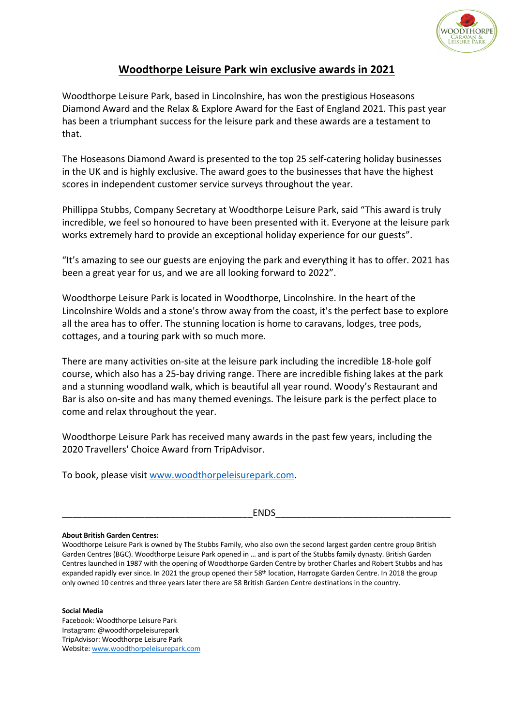

## **Woodthorpe Leisure Park win exclusive awards in 2021**

Woodthorpe Leisure Park, based in Lincolnshire, has won the prestigious Hoseasons Diamond Award and the Relax & Explore Award for the East of England 2021. This past year has been a triumphant success for the leisure park and these awards are a testament to that.

The Hoseasons Diamond Award is presented to the top 25 self-catering holiday businesses in the UK and is highly exclusive. The award goes to the businesses that have the highest scores in independent customer service surveys throughout the year.

Phillippa Stubbs, Company Secretary at Woodthorpe Leisure Park, said "This award is truly incredible, we feel so honoured to have been presented with it. Everyone at the leisure park works extremely hard to provide an exceptional holiday experience for our guests".

"It's amazing to see our guests are enjoying the park and everything it has to offer. 2021 has been a great year for us, and we are all looking forward to 2022".

Woodthorpe Leisure Park is located in Woodthorpe, Lincolnshire. In the heart of the Lincolnshire Wolds and a stone's throw away from the coast, it's the perfect base to explore all the area has to offer. The stunning location is home to caravans, lodges, tree pods, cottages, and a touring park with so much more.

There are many activities on-site at the leisure park including the incredible 18-hole golf course, which also has a 25-bay driving range. There are incredible fishing lakes at the park and a stunning woodland walk, which is beautiful all year round. Woody's Restaurant and Bar is also on-site and has many themed evenings. The leisure park is the perfect place to come and relax throughout the year.

Woodthorpe Leisure Park has received many awards in the past few years, including the 2020 Travellers' Choice Award from TripAdvisor.

To book, please visit www.woodthorpeleisurepark.com.

\_\_\_\_\_\_\_\_\_\_\_\_\_\_\_\_\_\_\_\_\_\_\_\_\_\_\_\_\_\_\_\_\_\_\_\_\_ENDS\_\_\_\_\_\_\_\_\_\_\_\_\_\_\_\_\_\_\_\_\_\_\_\_\_\_\_\_\_\_\_\_\_\_

## **About British Garden Centres:**

Woodthorpe Leisure Park is owned by The Stubbs Family, who also own the second largest garden centre group British Garden Centres (BGC). Woodthorpe Leisure Park opened in … and is part of the Stubbs family dynasty. British Garden Centres launched in 1987 with the opening of Woodthorpe Garden Centre by brother Charles and Robert Stubbs and has expanded rapidly ever since. In 2021 the group opened their 58<sup>th</sup> location, Harrogate Garden Centre. In 2018 the group only owned 10 centres and three years later there are 58 British Garden Centre destinations in the country.

## **Social Media**

Facebook: Woodthorpe Leisure Park Instagram: @woodthorpeleisurepark TripAdvisor: Woodthorpe Leisure Park Website: www.woodthorpeleisurepark.com